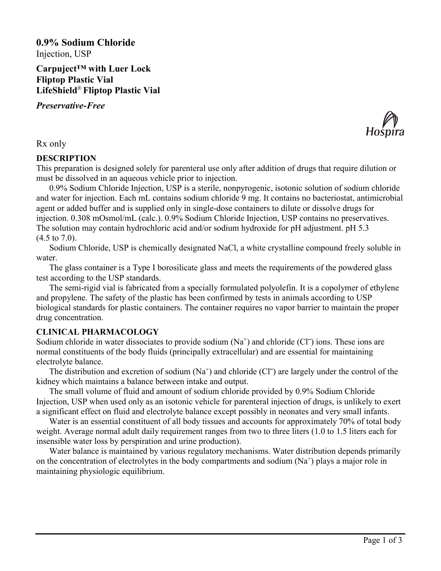**0.9% Sodium Chloride** Injection, USP

**Carpuject™ with Luer Lock Fliptop Plastic Vial LifeShield**® **Fliptop Plastic Vial**

*Preservative-Free*



### Rx only

### **DESCRIPTION**

This preparation is designed solely for parenteral use only after addition of drugs that require dilution or must be dissolved in an aqueous vehicle prior to injection.

0.9% Sodium Chloride Injection, USP is a sterile, nonpyrogenic, isotonic solution of sodium chloride and water for injection. Each mL contains sodium chloride 9 mg. It contains no bacteriostat, antimicrobial agent or added buffer and is supplied only in single-dose containers to dilute or dissolve drugs for injection. 0.308 mOsmol/mL (calc.). 0.9% Sodium Chloride Injection, USP contains no preservatives. The solution may contain hydrochloric acid and/or sodium hydroxide for pH adjustment. pH 5.3 (4.5 to 7.0).

Sodium Chloride, USP is chemically designated NaCl, a white crystalline compound freely soluble in water.

The glass container is a Type I borosilicate glass and meets the requirements of the powdered glass test according to the USP standards.

The semi-rigid vial is fabricated from a specially formulated polyolefin. It is a copolymer of ethylene and propylene. The safety of the plastic has been confirmed by tests in animals according to USP biological standards for plastic containers. The container requires no vapor barrier to maintain the proper drug concentration.

# **CLINICAL PHARMACOLOGY**

Sodium chloride in water dissociates to provide sodium  $(Na^+)$  and chloride  $(CI^-)$  ions. These ions are normal constituents of the body fluids (principally extracellular) and are essential for maintaining electrolyte balance.

The distribution and excretion of sodium  $(Na^+)$  and chloride  $(C\Gamma)$  are largely under the control of the kidney which maintains a balance between intake and output.

The small volume of fluid and amount of sodium chloride provided by 0.9% Sodium Chloride Injection, USP when used only as an isotonic vehicle for parenteral injection of drugs, is unlikely to exert a significant effect on fluid and electrolyte balance except possibly in neonates and very small infants.

Water is an essential constituent of all body tissues and accounts for approximately 70% of total body weight. Average normal adult daily requirement ranges from two to three liters (1.0 to 1.5 liters each for insensible water loss by perspiration and urine production).

Water balance is maintained by various regulatory mechanisms. Water distribution depends primarily on the concentration of electrolytes in the body compartments and sodium  $(Na<sup>+</sup>)$  plays a major role in maintaining physiologic equilibrium.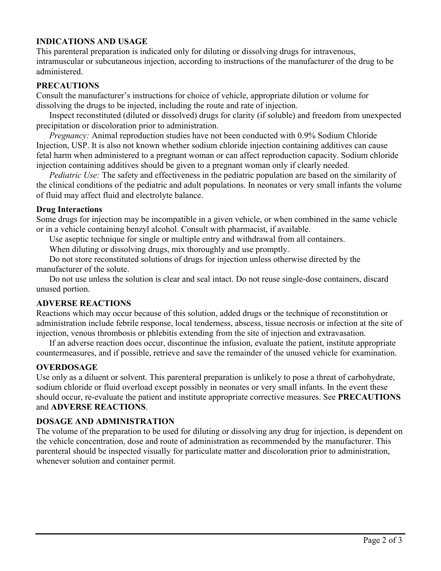## **INDICATIONS AND USAGE**

This parenteral preparation is indicated only for diluting or dissolving drugs for intravenous, intramuscular or subcutaneous injection, according to instructions of the manufacturer of the drug to be administered.

#### **PRECAUTIONS**

Consult the manufacturer's instructions for choice of vehicle, appropriate dilution or volume for dissolving the drugs to be injected, including the route and rate of injection.

Inspect reconstituted (diluted or dissolved) drugs for clarity (if soluble) and freedom from unexpected precipitation or discoloration prior to administration.

*Pregnancy:* Animal reproduction studies have not been conducted with 0.9% Sodium Chloride Injection, USP. It is also not known whether sodium chloride injection containing additives can cause fetal harm when administered to a pregnant woman or can affect reproduction capacity. Sodium chloride injection containing additives should be given to a pregnant woman only if clearly needed.

*Pediatric Use:* The safety and effectiveness in the pediatric population are based on the similarity of the clinical conditions of the pediatric and adult populations. In neonates or very small infants the volume of fluid may affect fluid and electrolyte balance.

#### **Drug Interactions**

Some drugs for injection may be incompatible in a given vehicle, or when combined in the same vehicle or in a vehicle containing benzyl alcohol. Consult with pharmacist, if available.

Use aseptic technique for single or multiple entry and withdrawal from all containers.

When diluting or dissolving drugs, mix thoroughly and use promptly.

Do not store reconstituted solutions of drugs for injection unless otherwise directed by the manufacturer of the solute.

Do not use unless the solution is clear and seal intact. Do not reuse single-dose containers, discard unused portion.

### **ADVERSE REACTIONS**

Reactions which may occur because of this solution, added drugs or the technique of reconstitution or administration include febrile response, local tenderness, abscess, tissue necrosis or infection at the site of injection, venous thrombosis or phlebitis extending from the site of injection and extravasation.

If an adverse reaction does occur, discontinue the infusion, evaluate the patient, institute appropriate countermeasures, and if possible, retrieve and save the remainder of the unused vehicle for examination.

### **OVERDOSAGE**

Use only as a diluent or solvent. This parenteral preparation is unlikely to pose a threat of carbohydrate, sodium chloride or fluid overload except possibly in neonates or very small infants. In the event these should occur, re-evaluate the patient and institute appropriate corrective measures. See **PRECAUTIONS** and **ADVERSE REACTIONS**.

### **DOSAGE AND ADMINISTRATION**

The volume of the preparation to be used for diluting or dissolving any drug for injection, is dependent on the vehicle concentration, dose and route of administration as recommended by the manufacturer. This parenteral should be inspected visually for particulate matter and discoloration prior to administration, whenever solution and container permit.